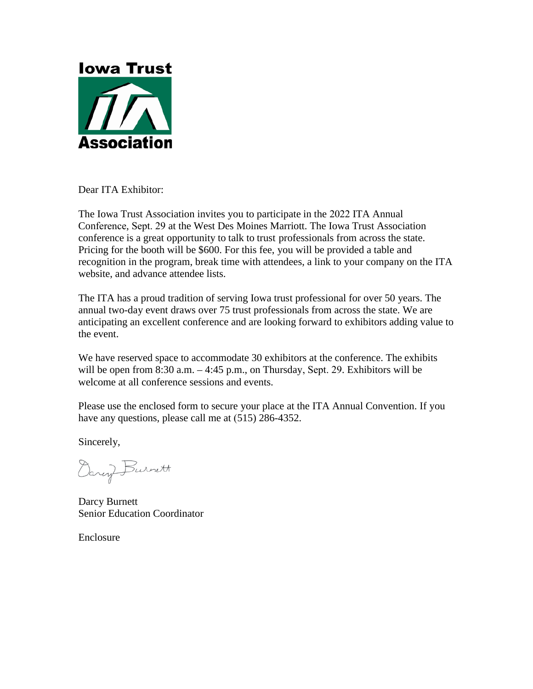

Dear ITA Exhibitor:

The Iowa Trust Association invites you to participate in the 2022 ITA Annual Conference, Sept. 29 at the West Des Moines Marriott. The Iowa Trust Association conference is a great opportunity to talk to trust professionals from across the state. Pricing for the booth will be \$600. For this fee, you will be provided a table and recognition in the program, break time with attendees, a link to your company on the ITA website, and advance attendee lists.

The ITA has a proud tradition of serving Iowa trust professional for over 50 years. The annual two-day event draws over 75 trust professionals from across the state. We are anticipating an excellent conference and are looking forward to exhibitors adding value to the event.

We have reserved space to accommodate 30 exhibitors at the conference. The exhibits will be open from  $8:30$  a.m.  $-4:45$  p.m., on Thursday, Sept. 29. Exhibitors will be welcome at all conference sessions and events.

Please use the enclosed form to secure your place at the ITA Annual Convention. If you have any questions, please call me at (515) 286-4352.

Sincerely,

Darcy Burnett

Darcy Burnett Senior Education Coordinator

Enclosure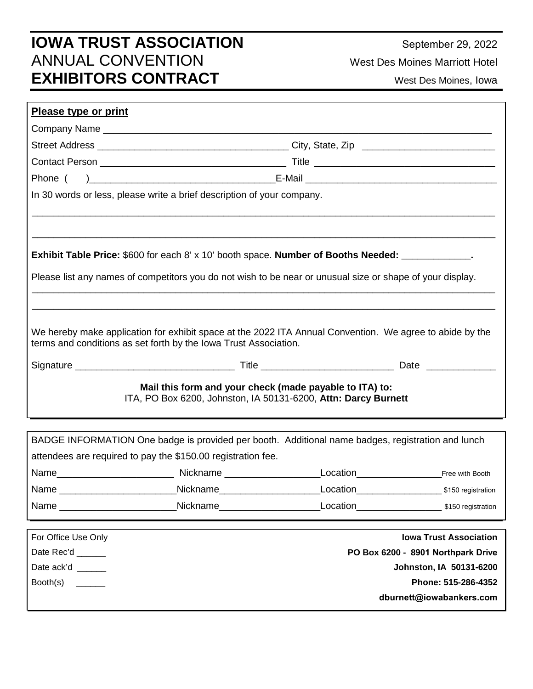## **IOWA TRUST ASSOCIATION** ANNUAL CONVENTION **EXHIBITORS CONTRACT**

September 29, 2022

West Des Moines Marriott Hotel

West Des Moines, Iowa

| <b>Please type or print</b>                                                                                                                                                                                                    |                                                                                                                                                                                                                      |                                    |                               |  |
|--------------------------------------------------------------------------------------------------------------------------------------------------------------------------------------------------------------------------------|----------------------------------------------------------------------------------------------------------------------------------------------------------------------------------------------------------------------|------------------------------------|-------------------------------|--|
|                                                                                                                                                                                                                                |                                                                                                                                                                                                                      |                                    |                               |  |
|                                                                                                                                                                                                                                |                                                                                                                                                                                                                      |                                    |                               |  |
|                                                                                                                                                                                                                                |                                                                                                                                                                                                                      |                                    |                               |  |
|                                                                                                                                                                                                                                |                                                                                                                                                                                                                      |                                    |                               |  |
|                                                                                                                                                                                                                                | In 30 words or less, please write a brief description of your company.                                                                                                                                               |                                    |                               |  |
|                                                                                                                                                                                                                                | <b>Exhibit Table Price:</b> \$600 for each 8' x 10' booth space. Number of Booths Needed: ____________.<br>Please list any names of competitors you do not wish to be near or unusual size or shape of your display. |                                    |                               |  |
| We hereby make application for exhibit space at the 2022 ITA Annual Convention. We agree to abide by the<br>terms and conditions as set forth by the Iowa Trust Association.                                                   |                                                                                                                                                                                                                      |                                    |                               |  |
|                                                                                                                                                                                                                                |                                                                                                                                                                                                                      |                                    |                               |  |
| Mail this form and your check (made payable to ITA) to:<br>ITA, PO Box 6200, Johnston, IA 50131-6200, Attn: Darcy Burnett                                                                                                      |                                                                                                                                                                                                                      |                                    |                               |  |
|                                                                                                                                                                                                                                |                                                                                                                                                                                                                      |                                    |                               |  |
|                                                                                                                                                                                                                                | BADGE INFORMATION One badge is provided per booth. Additional name badges, registration and lunch<br>attendees are required to pay the \$150.00 registration fee.                                                    |                                    |                               |  |
|                                                                                                                                                                                                                                |                                                                                                                                                                                                                      |                                    |                               |  |
|                                                                                                                                                                                                                                | Nickname______________________                                                                                                                                                                                       |                                    |                               |  |
| Name and the contract of the contract of the contract of the contract of the contract of the contract of the contract of the contract of the contract of the contract of the contract of the contract of the contract of the c | <b>Nickname Nickname</b>                                                                                                                                                                                             |                                    | Location \$150 registration   |  |
| For Office Use Only                                                                                                                                                                                                            |                                                                                                                                                                                                                      |                                    | <b>Iowa Trust Association</b> |  |
| Date Rec'd _____                                                                                                                                                                                                               |                                                                                                                                                                                                                      | PO Box 6200 - 8901 Northpark Drive |                               |  |
| Date ack'd                                                                                                                                                                                                                     | Johnston, IA 50131-6200                                                                                                                                                                                              |                                    |                               |  |
| Booth(s)<br><b>Contract Contract</b>                                                                                                                                                                                           | Phone: 515-286-4352                                                                                                                                                                                                  |                                    |                               |  |
|                                                                                                                                                                                                                                |                                                                                                                                                                                                                      |                                    | dburnett@iowabankers.com      |  |
|                                                                                                                                                                                                                                |                                                                                                                                                                                                                      |                                    |                               |  |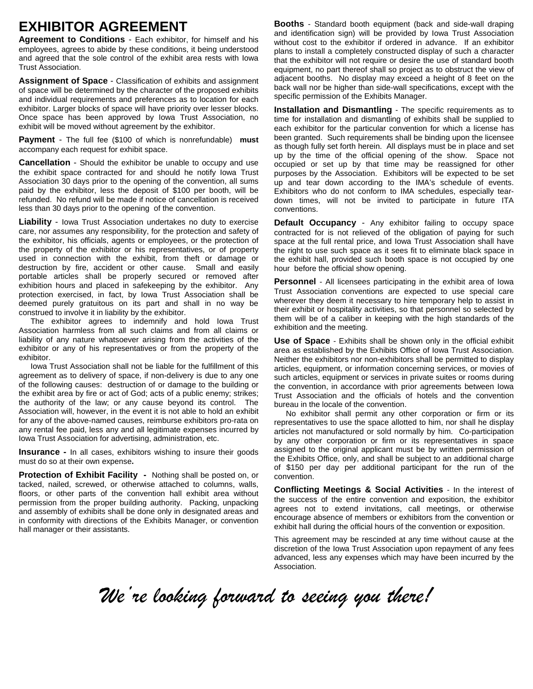## **EXHIBITOR AGREEMENT**

**Agreement to Conditions** - Each exhibitor, for himself and his employees, agrees to abide by these conditions, it being understood and agreed that the sole control of the exhibit area rests with Iowa Trust Association.

**Assignment of Space** - Classification of exhibits and assignment of space will be determined by the character of the proposed exhibits and individual requirements and preferences as to location for each exhibitor. Larger blocks of space will have priority over lesser blocks. Once space has been approved by Iowa Trust Association, no exhibit will be moved without agreement by the exhibitor.

**Payment** - The full fee (\$100 of which is nonrefundable) **must** accompany each request for exhibit space.

**Cancellation** - Should the exhibitor be unable to occupy and use the exhibit space contracted for and should he notify Iowa Trust Association 30 days prior to the opening of the convention, all sums paid by the exhibitor, less the deposit of \$100 per booth, will be refunded. No refund will be made if notice of cancellation is received less than 30 days prior to the opening of the convention.

**Liability** - Iowa Trust Association undertakes no duty to exercise care, nor assumes any responsibility, for the protection and safety of the exhibitor, his officials, agents or employees, or the protection of the property of the exhibitor or his representatives, or of property used in connection with the exhibit, from theft or damage or destruction by fire, accident or other cause. Small and easily portable articles shall be properly secured or removed after exhibition hours and placed in safekeeping by the exhibitor. Any protection exercised, in fact, by Iowa Trust Association shall be deemed purely gratuitous on its part and shall in no way be construed to involve it in liability by the exhibitor.

The exhibitor agrees to indemnify and hold Iowa Trust Association harmless from all such claims and from all claims or liability of any nature whatsoever arising from the activities of the exhibitor or any of his representatives or from the property of the exhibitor.

Iowa Trust Association shall not be liable for the fulfillment of this agreement as to delivery of space, if non-delivery is due to any one of the following causes: destruction of or damage to the building or the exhibit area by fire or act of God; acts of a public enemy; strikes; the authority of the law; or any cause beyond its control. The Association will, however, in the event it is not able to hold an exhibit for any of the above-named causes, reimburse exhibitors pro-rata on any rental fee paid, less any and all legitimate expenses incurred by Iowa Trust Association for advertising, administration, etc.

**Insurance -** In all cases, exhibitors wishing to insure their goods must do so at their own expense**.** 

**Protection of Exhibit Facility -** Nothing shall be posted on, or tacked, nailed, screwed, or otherwise attached to columns, walls, floors, or other parts of the convention hall exhibit area without permission from the proper building authority. Packing, unpacking and assembly of exhibits shall be done only in designated areas and in conformity with directions of the Exhibits Manager, or convention hall manager or their assistants.

**Booths** - Standard booth equipment (back and side-wall draping and identification sign) will be provided by Iowa Trust Association without cost to the exhibitor if ordered in advance. If an exhibitor plans to install a completely constructed display of such a character that the exhibitor will not require or desire the use of standard booth equipment, no part thereof shall so project as to obstruct the view of adjacent booths. No display may exceed a height of 8 feet on the back wall nor be higher than side-wall specifications, except with the specific permission of the Exhibits Manager.

**Installation and Dismantling** - The specific requirements as to time for installation and dismantling of exhibits shall be supplied to each exhibitor for the particular convention for which a license has been granted. Such requirements shall be binding upon the licensee as though fully set forth herein. All displays must be in place and set up by the time of the official opening of the show. Space not occupied or set up by that time may be reassigned for other purposes by the Association. Exhibitors will be expected to be set up and tear down according to the IMA's schedule of events. Exhibitors who do not conform to IMA schedules, especially teardown times, will not be invited to participate in future ITA conventions.

**Default Occupancy** - Any exhibitor failing to occupy space contracted for is not relieved of the obligation of paying for such space at the full rental price, and Iowa Trust Association shall have the right to use such space as it sees fit to eliminate black space in the exhibit hall, provided such booth space is not occupied by one hour before the official show opening.

**Personnel** - All licensees participating in the exhibit area of Iowa Trust Association conventions are expected to use special care wherever they deem it necessary to hire temporary help to assist in their exhibit or hospitality activities, so that personnel so selected by them will be of a caliber in keeping with the high standards of the exhibition and the meeting.

**Use of Space** - Exhibits shall be shown only in the official exhibit area as established by the Exhibits Office of Iowa Trust Association. Neither the exhibitors nor non-exhibitors shall be permitted to display articles, equipment, or information concerning services, or movies of such articles, equipment or services in private suites or rooms during the convention, in accordance with prior agreements between Iowa Trust Association and the officials of hotels and the convention bureau in the locale of the convention.

No exhibitor shall permit any other corporation or firm or its representatives to use the space allotted to him, nor shall he display articles not manufactured or sold normally by him. Co-participation by any other corporation or firm or its representatives in space assigned to the original applicant must be by written permission of the Exhibits Office, only, and shall be subject to an additional charge of \$150 per day per additional participant for the run of the convention.

**Conflicting Meetings & Social Activities** - In the interest of the success of the entire convention and exposition, the exhibitor agrees not to extend invitations, call meetings, or otherwise encourage absence of members or exhibitors from the convention or exhibit hall during the official hours of the convention or exposition.

This agreement may be rescinded at any time without cause at the discretion of the Iowa Trust Association upon repayment of any fees advanced, less any expenses which may have been incurred by the **Association** 

*We're looking forward to seeing you there!*